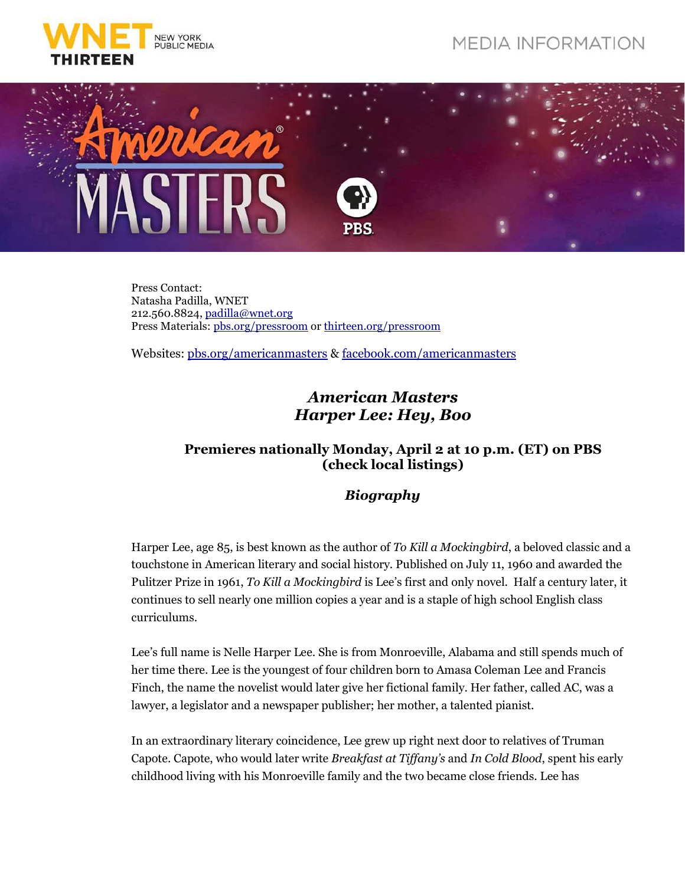

## MEDIA INFORMATION



Press Contact: Natasha Padilla, WNET 212.560.8824, padilla@wnet.org Press Materials: pbs.org/pressroom or thirteen.org/pressroom

Websites: pbs.org/americanmasters & facebook.com/americanmasters

## *American Masters Harper Lee: Hey, Boo*

## **Premieres nationally Monday, April 2 at 10 p.m. (ET) on PBS (check local listings)**

## *Biography*

Harper Lee, age 85, is best known as the author of *To Kill a Mockingbird*, a beloved classic and a touchstone in American literary and social history. Published on July 11, 1960 and awarded the Pulitzer Prize in 1961, *To Kill a Mockingbird* is Lee's first and only novel. Half a century later, it continues to sell nearly one million copies a year and is a staple of high school English class curriculums.

Lee's full name is Nelle Harper Lee. She is from Monroeville, Alabama and still spends much of her time there. Lee is the youngest of four children born to Amasa Coleman Lee and Francis Finch, the name the novelist would later give her fictional family. Her father, called AC, was a lawyer, a legislator and a newspaper publisher; her mother, a talented pianist.

In an extraordinary literary coincidence, Lee grew up right next door to relatives of Truman Capote. Capote, who would later write *Breakfast at Tiffany's* and *In Cold Blood*, spent his early childhood living with his Monroeville family and the two became close friends. Lee has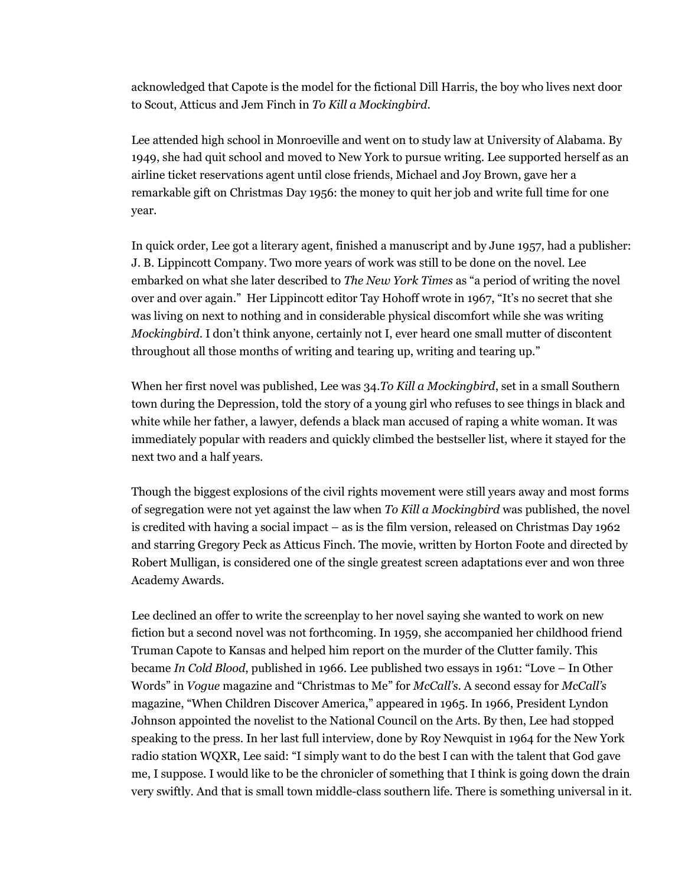acknowledged that Capote is the model for the fictional Dill Harris, the boy who lives next door to Scout, Atticus and Jem Finch in *To Kill a Mockingbird*.

Lee attended high school in Monroeville and went on to study law at University of Alabama. By 1949, she had quit school and moved to New York to pursue writing. Lee supported herself as an airline ticket reservations agent until close friends, Michael and Joy Brown, gave her a remarkable gift on Christmas Day 1956: the money to quit her job and write full time for one year.

In quick order, Lee got a literary agent, finished a manuscript and by June 1957, had a publisher: J. B. Lippincott Company. Two more years of work was still to be done on the novel. Lee embarked on what she later described to *The New York Times* as "a period of writing the novel over and over again." Her Lippincott editor Tay Hohoff wrote in 1967, "It's no secret that she was living on next to nothing and in considerable physical discomfort while she was writing *Mockingbird*. I don't think anyone, certainly not I, ever heard one small mutter of discontent throughout all those months of writing and tearing up, writing and tearing up."

When her first novel was published, Lee was 34.*To Kill a Mockingbird*, set in a small Southern town during the Depression, told the story of a young girl who refuses to see things in black and white while her father, a lawyer, defends a black man accused of raping a white woman. It was immediately popular with readers and quickly climbed the bestseller list, where it stayed for the next two and a half years.

Though the biggest explosions of the civil rights movement were still years away and most forms of segregation were not yet against the law when *To Kill a Mockingbird* was published, the novel is credited with having a social impact – as is the film version, released on Christmas Day 1962 and starring Gregory Peck as Atticus Finch. The movie, written by Horton Foote and directed by Robert Mulligan, is considered one of the single greatest screen adaptations ever and won three Academy Awards.

Lee declined an offer to write the screenplay to her novel saying she wanted to work on new fiction but a second novel was not forthcoming. In 1959, she accompanied her childhood friend Truman Capote to Kansas and helped him report on the murder of the Clutter family. This became *In Cold Blood*, published in 1966. Lee published two essays in 1961: "Love – In Other Words" in *Vogue* magazine and "Christmas to Me" for *McCall's*. A second essay for *McCall's* magazine, "When Children Discover America," appeared in 1965. In 1966, President Lyndon Johnson appointed the novelist to the National Council on the Arts. By then, Lee had stopped speaking to the press. In her last full interview, done by Roy Newquist in 1964 for the New York radio station WQXR, Lee said: "I simply want to do the best I can with the talent that God gave me, I suppose. I would like to be the chronicler of something that I think is going down the drain very swiftly. And that is small town middle-class southern life. There is something universal in it.